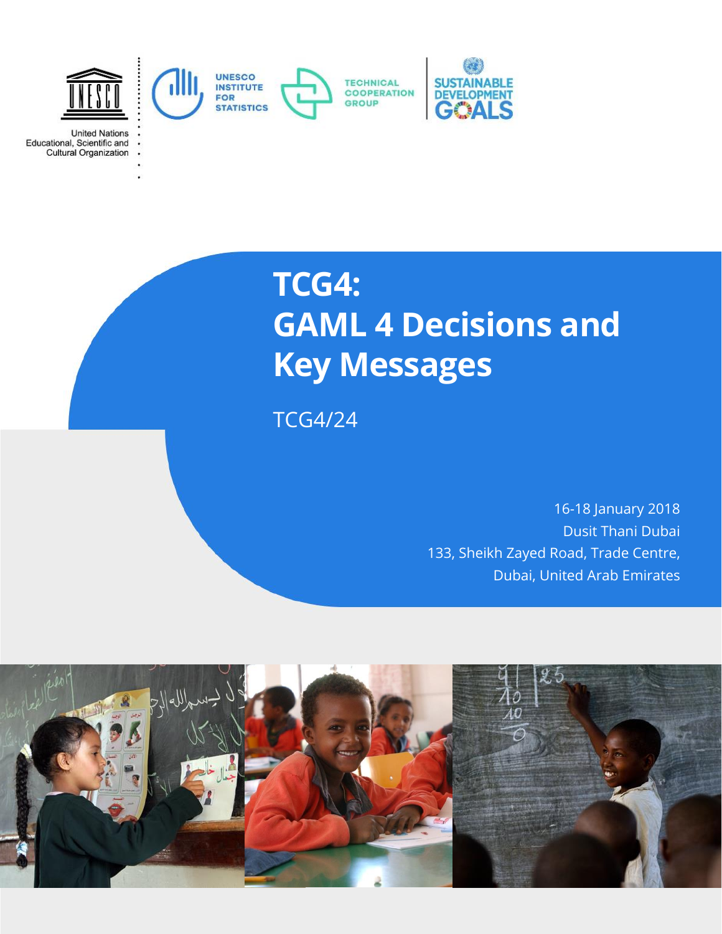

**United Nations** Educational, Scientific and **Cultural Organization** 

> **TCG4: GAML 4 Decisions and Key Messages**

TCG4/24

16-18 January 2018 Dusit Thani Dubai 133, Sheikh Zayed Road, Trade Centre, Dubai, United Arab Emirates

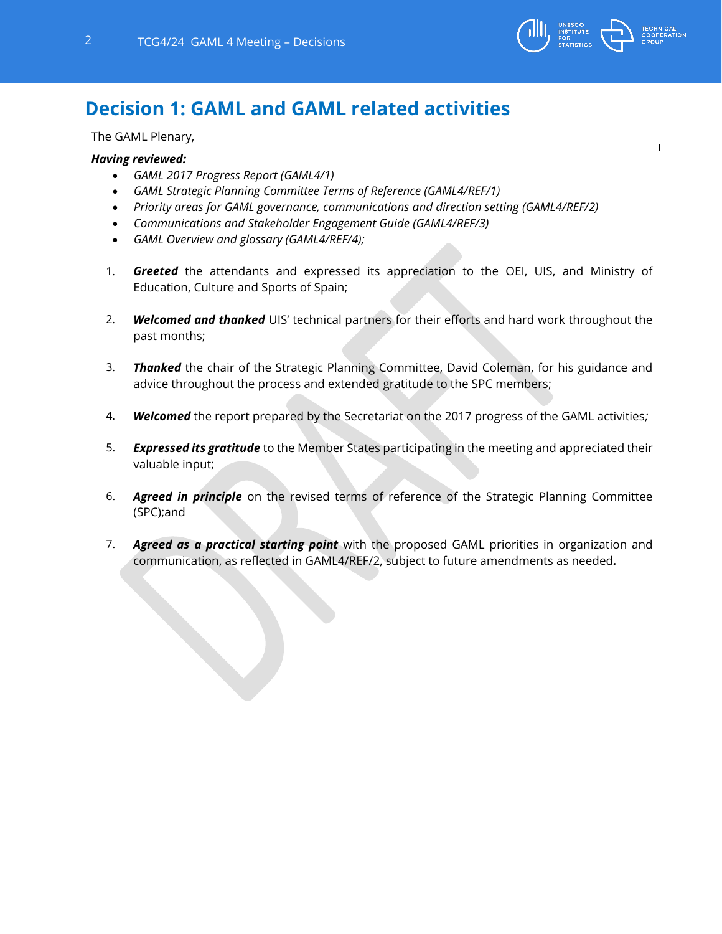

 $\overline{1}$ 

### **Decision 1: GAML and GAML related activities**

The GAML Plenary,

- *GAML 2017 Progress Report (GAML4/1)*
- *GAML Strategic Planning Committee Terms of Reference (GAML4/REF/1)*
- *Priority areas for GAML governance, communications and direction setting (GAML4/REF/2)*
- *Communications and Stakeholder Engagement Guide (GAML4/REF/3)*
- *GAML Overview and glossary (GAML4/REF/4);*
- 1. *Greeted* the attendants and expressed its appreciation to the OEI, UIS, and Ministry of Education, Culture and Sports of Spain;
- 2. *Welcomed and thanked* UIS' technical partners for their efforts and hard work throughout the past months;
- 3. *Thanked* the chair of the Strategic Planning Committee, David Coleman, for his guidance and advice throughout the process and extended gratitude to the SPC members;
- 4. *Welcomed* the report prepared by the Secretariat on the 2017 progress of the GAML activities*;*
- 5. *Expressed its gratitude* to the Member States participating in the meeting and appreciated their valuable input;
- 6. *Agreed in principle* on the revised terms of reference of the Strategic Planning Committee (SPC);and
- 7. *Agreed as a practical starting point* with the proposed GAML priorities in organization and communication, as reflected in GAML4/REF/2, subject to future amendments as needed*.*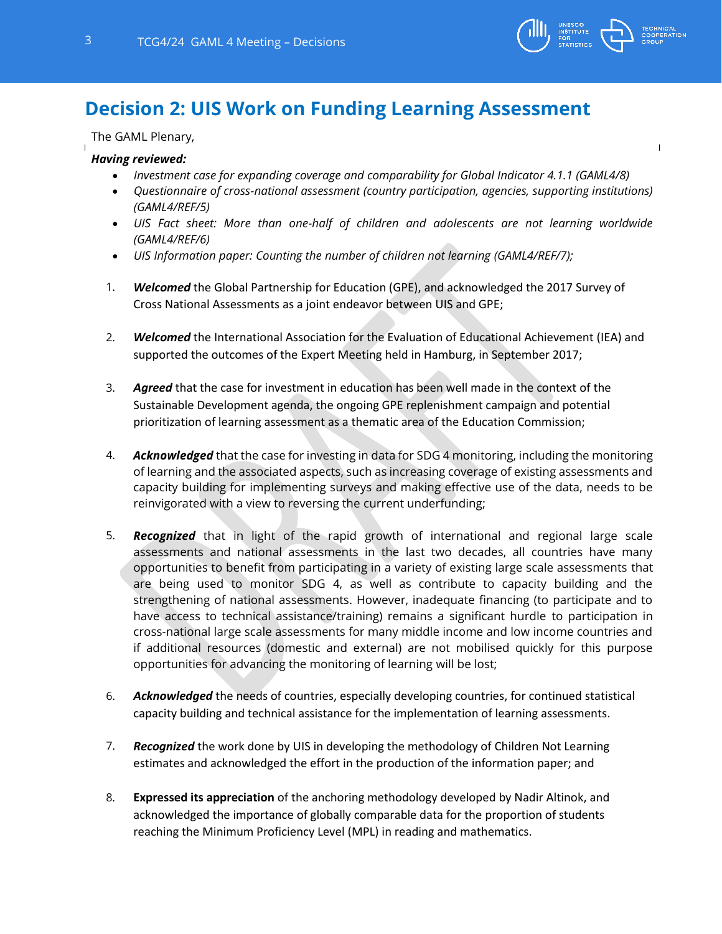

### **Decision 2: UIS Work on Funding Learning Assessment**

The GAML Plenary,

- *Investment case for expanding coverage and comparability for Global Indicator 4.1.1 (GAML4/8)*
- *Questionnaire of cross-national assessment (country participation, agencies, supporting institutions) (GAML4/REF/5)*
- *UIS Fact sheet: More than one-half of children and adolescents are not learning worldwide (GAML4/REF/6)*
- *UIS Information paper: Counting the number of children not learning (GAML4/REF/7);*
- 1. *Welcomed* the Global Partnership for Education (GPE), and acknowledged the 2017 Survey of Cross National Assessments as a joint endeavor between UIS and GPE;
- 2. *Welcomed* the International Association for the Evaluation of Educational Achievement (IEA) and supported the outcomes of the Expert Meeting held in Hamburg, in September 2017;
- 3. *Agreed* that the case for investment in education has been well made in the context of the Sustainable Development agenda, the ongoing GPE replenishment campaign and potential prioritization of learning assessment as a thematic area of the Education Commission;
- 4. *Acknowledged* that the case for investing in data for SDG 4 monitoring, including the monitoring of learning and the associated aspects, such as increasing coverage of existing assessments and capacity building for implementing surveys and making effective use of the data, needs to be reinvigorated with a view to reversing the current underfunding;
- 5. *Recognized* that in light of the rapid growth of international and regional large scale assessments and national assessments in the last two decades, all countries have many opportunities to benefit from participating in a variety of existing large scale assessments that are being used to monitor SDG 4, as well as contribute to capacity building and the strengthening of national assessments. However, inadequate financing (to participate and to have access to technical assistance/training) remains a significant hurdle to participation in cross-national large scale assessments for many middle income and low income countries and if additional resources (domestic and external) are not mobilised quickly for this purpose opportunities for advancing the monitoring of learning will be lost;
- 6. *Acknowledged* the needs of countries, especially developing countries, for continued statistical capacity building and technical assistance for the implementation of learning assessments.
- 7. *Recognized* the work done by UIS in developing the methodology of Children Not Learning estimates and acknowledged the effort in the production of the information paper; and
- 8. **Expressed its appreciation** of the anchoring methodology developed by Nadir Altinok, and acknowledged the importance of globally comparable data for the proportion of students reaching the Minimum Proficiency Level (MPL) in reading and mathematics.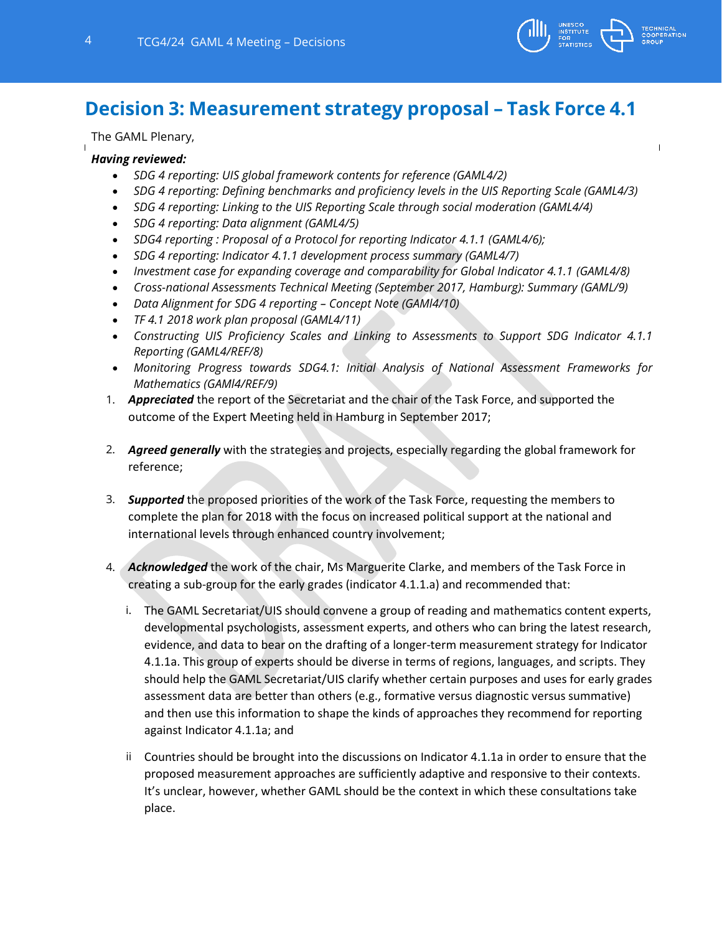

### **Decision 3: Measurement strategy proposal – Task Force 4.1**

The GAML Plenary,

- *SDG 4 reporting: UIS global framework contents for reference (GAML4/2)*
- *SDG 4 reporting: Defining benchmarks and proficiency levels in the UIS Reporting Scale (GAML4/3)*
- *SDG 4 reporting: Linking to the UIS Reporting Scale through social moderation (GAML4/4)*
- *SDG 4 reporting: Data alignment (GAML4/5)*
- *SDG4 reporting : Proposal of a Protocol for reporting Indicator 4.1.1 (GAML4/6);*
- *SDG 4 reporting: Indicator 4.1.1 development process summary (GAML4/7)*
- *Investment case for expanding coverage and comparability for Global Indicator 4.1.1 (GAML4/8)*
- *Cross-national Assessments Technical Meeting (September 2017, Hamburg): Summary (GAML/9)*
- *Data Alignment for SDG 4 reporting – Concept Note (GAMl4/10)*
- *TF 4.1 2018 work plan proposal (GAML4/11)*
- *Constructing UIS Proficiency Scales and Linking to Assessments to Support SDG Indicator 4.1.1 Reporting (GAML4/REF/8)*
- *Monitoring Progress towards SDG4.1: Initial Analysis of National Assessment Frameworks for Mathematics (GAMl4/REF/9)*
- 1. *Appreciated* the report of the Secretariat and the chair of the Task Force, and supported the outcome of the Expert Meeting held in Hamburg in September 2017;
- 2. *Agreed generally* with the strategies and projects, especially regarding the global framework for reference;
- 3. *Supported* the proposed priorities of the work of the Task Force, requesting the members to complete the plan for 2018 with the focus on increased political support at the national and international levels through enhanced country involvement;
- 4. *Acknowledged* the work of the chair, Ms Marguerite Clarke, and members of the Task Force in creating a sub-group for the early grades (indicator 4.1.1.a) and recommended that:
	- i. The GAML Secretariat/UIS should convene a group of reading and mathematics content experts, developmental psychologists, assessment experts, and others who can bring the latest research, evidence, and data to bear on the drafting of a longer-term measurement strategy for Indicator 4.1.1a. This group of experts should be diverse in terms of regions, languages, and scripts. They should help the GAML Secretariat/UIS clarify whether certain purposes and uses for early grades assessment data are better than others (e.g., formative versus diagnostic versus summative) and then use this information to shape the kinds of approaches they recommend for reporting against Indicator 4.1.1a; and
	- ii Countries should be brought into the discussions on Indicator 4.1.1a in order to ensure that the proposed measurement approaches are sufficiently adaptive and responsive to their contexts. It's unclear, however, whether GAML should be the context in which these consultations take place.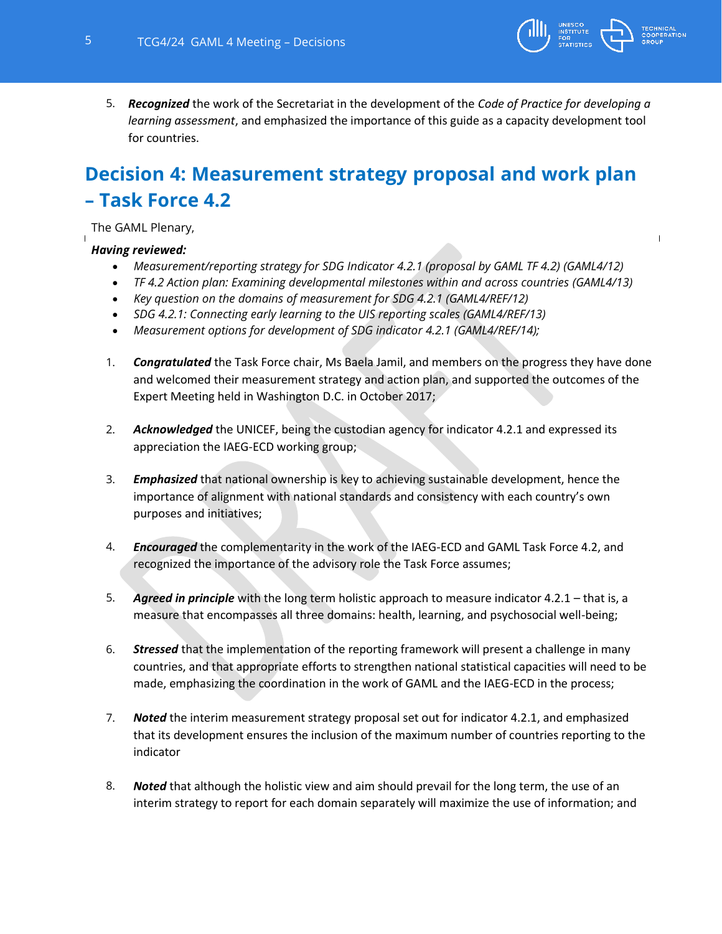

5. *Recognized* the work of the Secretariat in the development of the *Code of Practice for developing a learning assessment*, and emphasized the importance of this guide as a capacity development tool for countries.

### **Decision 4: Measurement strategy proposal and work plan – Task Force 4.2**

The GAML Plenary,

- *Measurement/reporting strategy for SDG Indicator 4.2.1 (proposal by GAML TF 4.2) (GAML4/12)*
- *TF 4.2 Action plan: Examining developmental milestones within and across countries (GAML4/13)*
- *Key question on the domains of measurement for SDG 4.2.1 (GAML4/REF/12)*
- *SDG 4.2.1: Connecting early learning to the UIS reporting scales (GAML4/REF/13)*
- *Measurement options for development of SDG indicator 4.2.1 (GAML4/REF/14);*
- 1. *Congratulated* the Task Force chair, Ms Baela Jamil, and members on the progress they have done and welcomed their measurement strategy and action plan, and supported the outcomes of the Expert Meeting held in Washington D.C. in October 2017;
- 2. *Acknowledged* the UNICEF, being the custodian agency for indicator 4.2.1 and expressed its appreciation the IAEG-ECD working group;
- 3. *Emphasized* that national ownership is key to achieving sustainable development, hence the importance of alignment with national standards and consistency with each country's own purposes and initiatives;
- 4. *Encouraged* the complementarity in the work of the IAEG-ECD and GAML Task Force 4.2, and recognized the importance of the advisory role the Task Force assumes;
- 5. *Agreed in principle* with the long term holistic approach to measure indicator 4.2.1 that is, a measure that encompasses all three domains: health, learning, and psychosocial well-being;
- 6. *Stressed* that the implementation of the reporting framework will present a challenge in many countries, and that appropriate efforts to strengthen national statistical capacities will need to be made, emphasizing the coordination in the work of GAML and the IAEG-ECD in the process;
- 7. *Noted* the interim measurement strategy proposal set out for indicator 4.2.1, and emphasized that its development ensures the inclusion of the maximum number of countries reporting to the indicator
- 8. *Noted* that although the holistic view and aim should prevail for the long term, the use of an interim strategy to report for each domain separately will maximize the use of information; and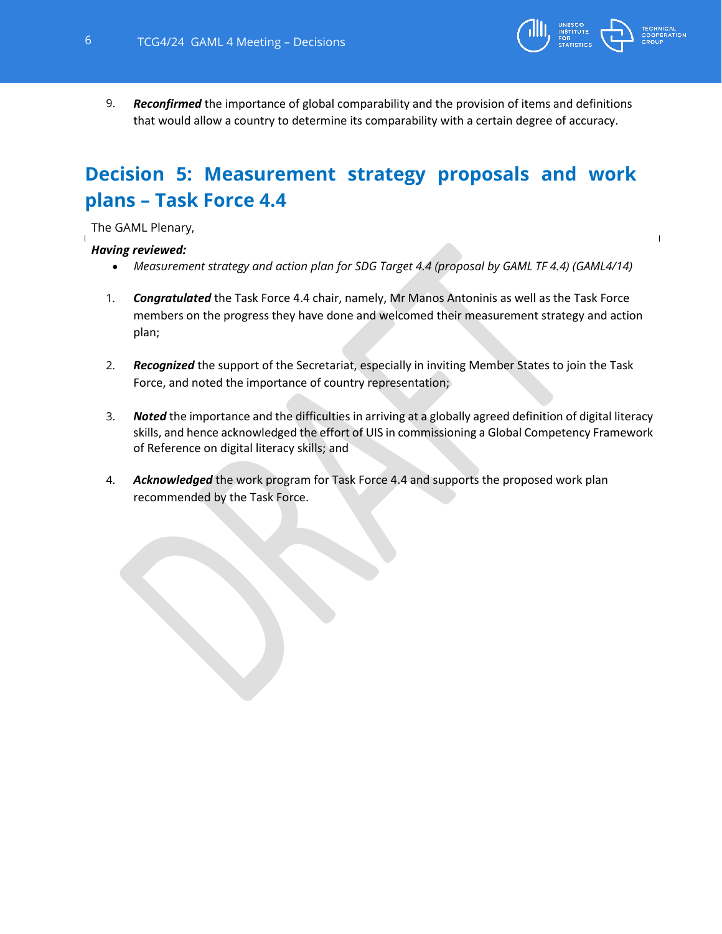

9. *Reconfirmed* the importance of global comparability and the provision of items and definitions that would allow a country to determine its comparability with a certain degree of accuracy.

# **Decision 5: Measurement strategy proposals and work plans – Task Force 4.4**

#### The GAML Plenary,

- *Measurement strategy and action plan for SDG Target 4.4 (proposal by GAML TF 4.4) (GAML4/14)*
- 1. *Congratulated* the Task Force 4.4 chair, namely, Mr Manos Antoninis as well as the Task Force members on the progress they have done and welcomed their measurement strategy and action plan;
- 2. *Recognized* the support of the Secretariat, especially in inviting Member States to join the Task Force, and noted the importance of country representation;
- 3. *Noted* the importance and the difficulties in arriving at a globally agreed definition of digital literacy skills, and hence acknowledged the effort of UIS in commissioning a Global Competency Framework of Reference on digital literacy skills; and
- 4. *Acknowledged* the work program for Task Force 4.4 and supports the proposed work plan recommended by the Task Force.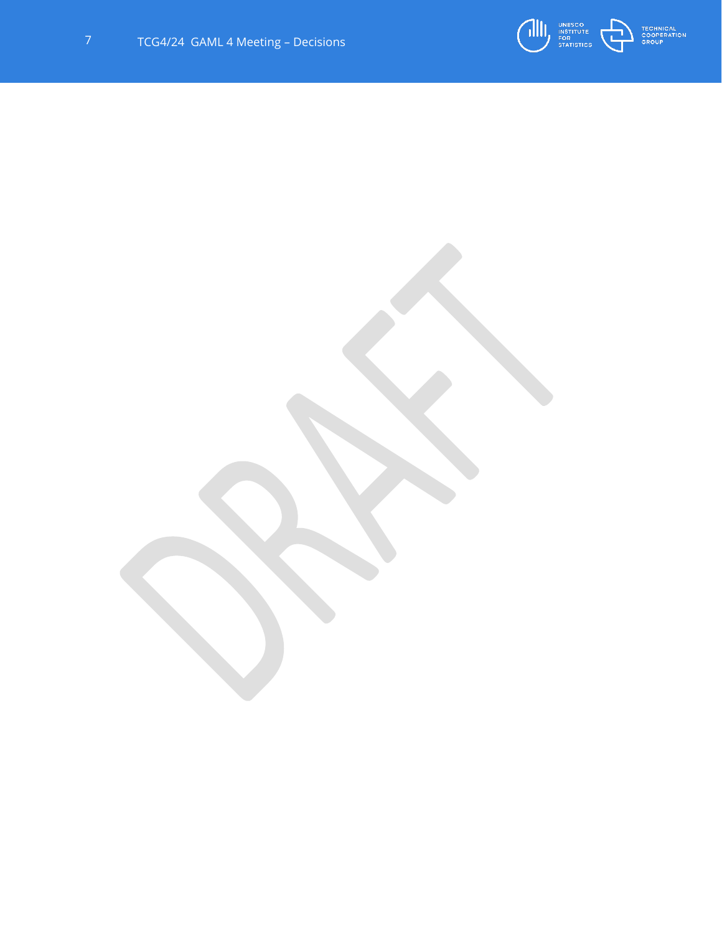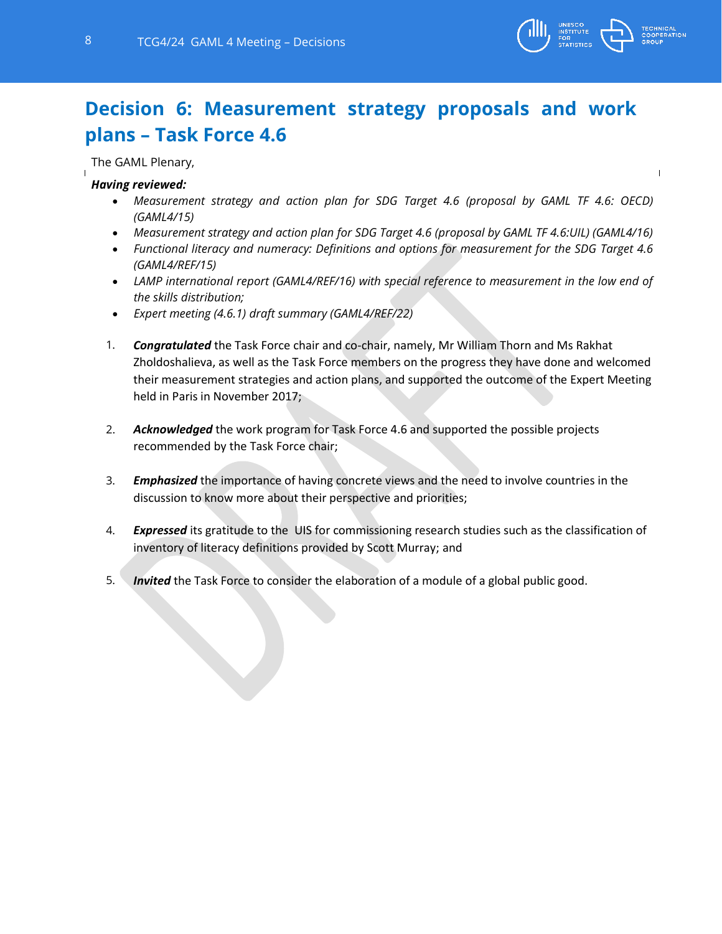

 $\overline{1}$ 

# **Decision 6: Measurement strategy proposals and work plans – Task Force 4.6**

The GAML Plenary,

- *Measurement strategy and action plan for SDG Target 4.6 (proposal by GAML TF 4.6: OECD) (GAML4/15)*
- *Measurement strategy and action plan for SDG Target 4.6 (proposal by GAML TF 4.6:UIL) (GAML4/16)*
- *Functional literacy and numeracy: Definitions and options for measurement for the SDG Target 4.6 (GAML4/REF/15)*
- *LAMP international report (GAML4/REF/16) with special reference to measurement in the low end of the skills distribution;*
- *Expert meeting (4.6.1) draft summary (GAML4/REF/22)*
- 1. *Congratulated* the Task Force chair and co-chair, namely, Mr William Thorn and Ms Rakhat Zholdoshalieva, as well as the Task Force members on the progress they have done and welcomed their measurement strategies and action plans, and supported the outcome of the Expert Meeting held in Paris in November 2017;
- 2. *Acknowledged* the work program for Task Force 4.6 and supported the possible projects recommended by the Task Force chair;
- 3. *Emphasized* the importance of having concrete views and the need to involve countries in the discussion to know more about their perspective and priorities;
- 4. *Expressed* its gratitude to the UIS for commissioning research studies such as the classification of inventory of literacy definitions provided by Scott Murray; and
- 5. *Invited* the Task Force to consider the elaboration of a module of a global public good.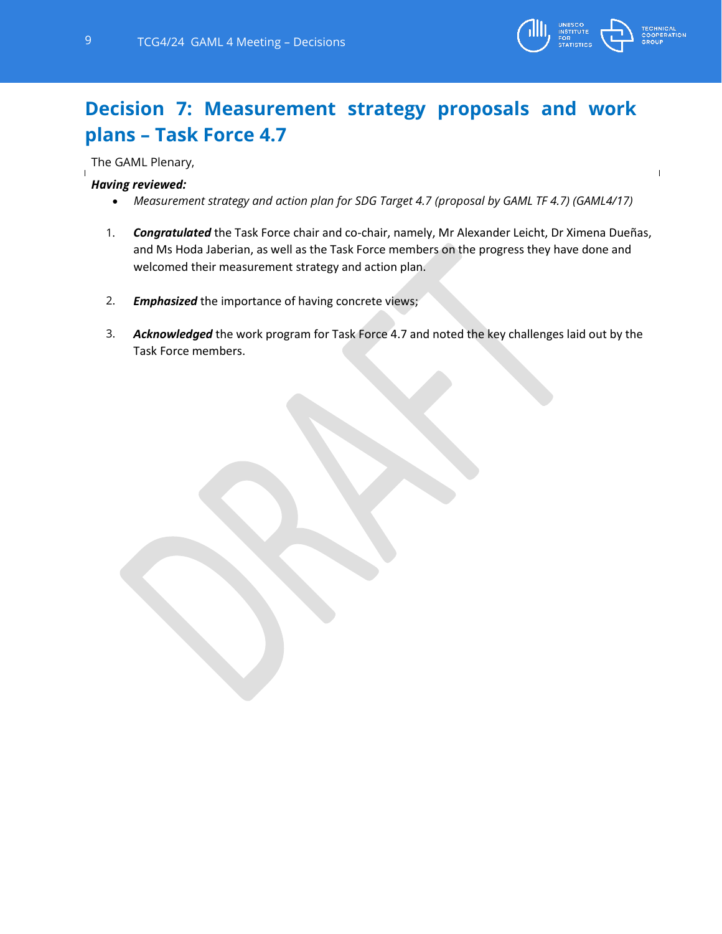

# **Decision 7: Measurement strategy proposals and work plans – Task Force 4.7**

The GAML Plenary,

- *Measurement strategy and action plan for SDG Target 4.7 (proposal by GAML TF 4.7) (GAML4/17)*
- 1. *Congratulated* the Task Force chair and co-chair, namely, Mr Alexander Leicht, Dr Ximena Dueñas, and Ms Hoda Jaberian, as well as the Task Force members on the progress they have done and welcomed their measurement strategy and action plan.
- 2. *Emphasized* the importance of having concrete views;
- 3. *Acknowledged* the work program for Task Force 4.7 and noted the key challenges laid out by the Task Force members.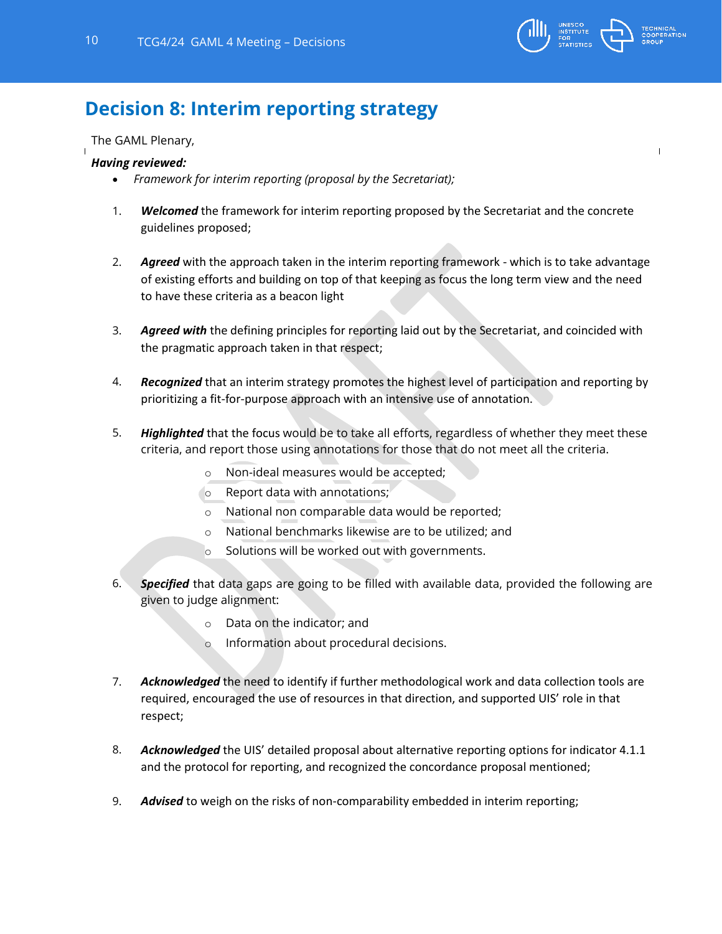

## **Decision 8: Interim reporting strategy**

The GAML Plenary,

- *Framework for interim reporting (proposal by the Secretariat);*
- 1. *Welcomed* the framework for interim reporting proposed by the Secretariat and the concrete guidelines proposed;
- 2. *Agreed* with the approach taken in the interim reporting framework which is to take advantage of existing efforts and building on top of that keeping as focus the long term view and the need to have these criteria as a beacon light
- 3. *Agreed with* the defining principles for reporting laid out by the Secretariat, and coincided with the pragmatic approach taken in that respect;
- 4. *Recognized* that an interim strategy promotes the highest level of participation and reporting by prioritizing a fit-for-purpose approach with an intensive use of annotation.
- 5. *Highlighted* that the focus would be to take all efforts, regardless of whether they meet these criteria, and report those using annotations for those that do not meet all the criteria.
	- o Non-ideal measures would be accepted;
	- o Report data with annotations;
	- o National non comparable data would be reported;
	- o National benchmarks likewise are to be utilized; and
	- $\circ$  Solutions will be worked out with governments.
- 6. *Specified* that data gaps are going to be filled with available data, provided the following are given to judge alignment:
	- o Data on the indicator; and
	- o Information about procedural decisions.
- 7. *Acknowledged* the need to identify if further methodological work and data collection tools are required, encouraged the use of resources in that direction, and supported UIS' role in that respect;
- 8. *Acknowledged* the UIS' detailed proposal about alternative reporting options for indicator 4.1.1 and the protocol for reporting, and recognized the concordance proposal mentioned;
- 9. *Advised* to weigh on the risks of non-comparability embedded in interim reporting;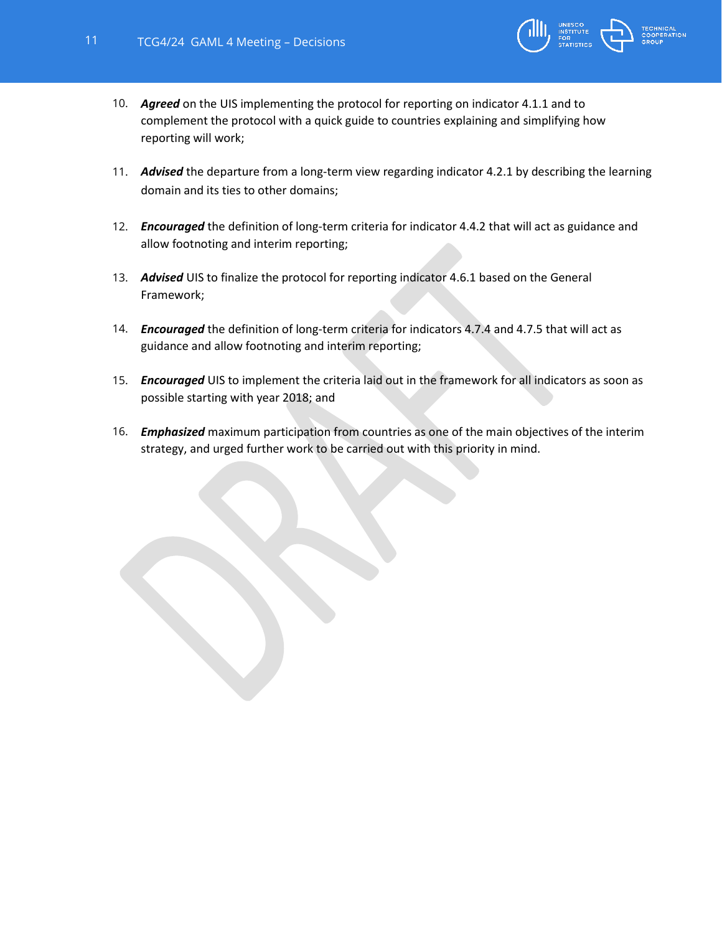

- 10. *Agreed* on the UIS implementing the protocol for reporting on indicator 4.1.1 and to complement the protocol with a quick guide to countries explaining and simplifying how reporting will work;
- 11. *Advised* the departure from a long-term view regarding indicator 4.2.1 by describing the learning domain and its ties to other domains;
- 12. *Encouraged* the definition of long-term criteria for indicator 4.4.2 that will act as guidance and allow footnoting and interim reporting;
- 13. *Advised* UIS to finalize the protocol for reporting indicator 4.6.1 based on the General Framework;
- 14. *Encouraged* the definition of long-term criteria for indicators 4.7.4 and 4.7.5 that will act as guidance and allow footnoting and interim reporting;
- 15. *Encouraged* UIS to implement the criteria laid out in the framework for all indicators as soon as possible starting with year 2018; and
- 16. *Emphasized* maximum participation from countries as one of the main objectives of the interim strategy, and urged further work to be carried out with this priority in mind.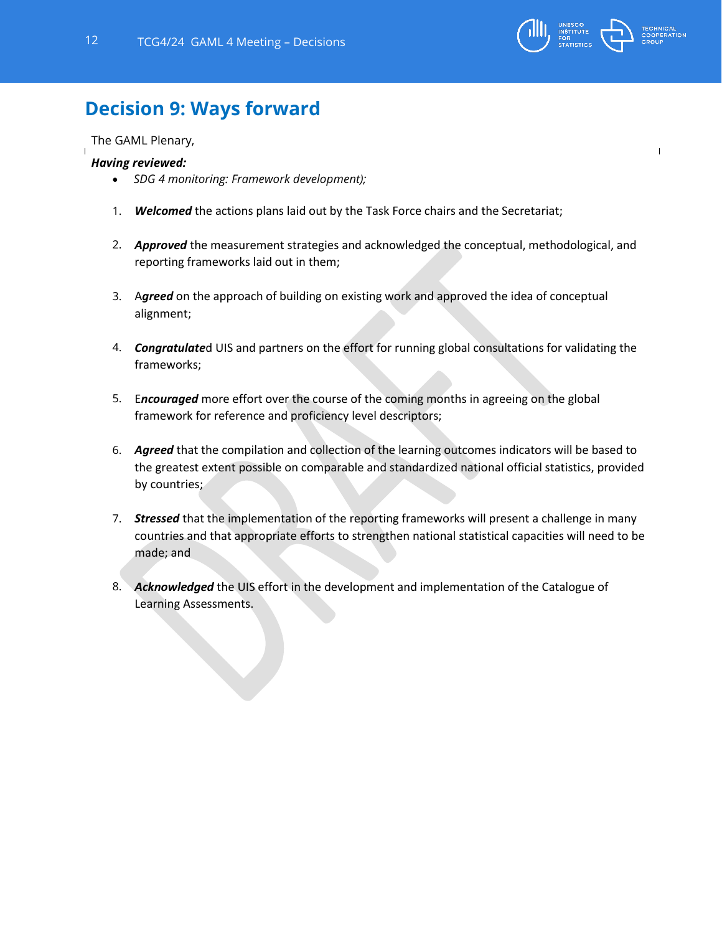

# **Decision 9: Ways forward**

The GAML Plenary,

- *SDG 4 monitoring: Framework development);*
- 1. *Welcomed* the actions plans laid out by the Task Force chairs and the Secretariat;
- 2. *Approved* the measurement strategies and acknowledged the conceptual, methodological, and reporting frameworks laid out in them;
- 3. A*greed* on the approach of building on existing work and approved the idea of conceptual alignment;
- 4. *Congratulate*d UIS and partners on the effort for running global consultations for validating the frameworks;
- 5. E*ncouraged* more effort over the course of the coming months in agreeing on the global framework for reference and proficiency level descriptors;
- 6. *Agreed* that the compilation and collection of the learning outcomes indicators will be based to the greatest extent possible on comparable and standardized national official statistics, provided by countries;
- 7. *Stressed* that the implementation of the reporting frameworks will present a challenge in many countries and that appropriate efforts to strengthen national statistical capacities will need to be made; and
- 8. *Acknowledged* the UIS effort in the development and implementation of the Catalogue of Learning Assessments.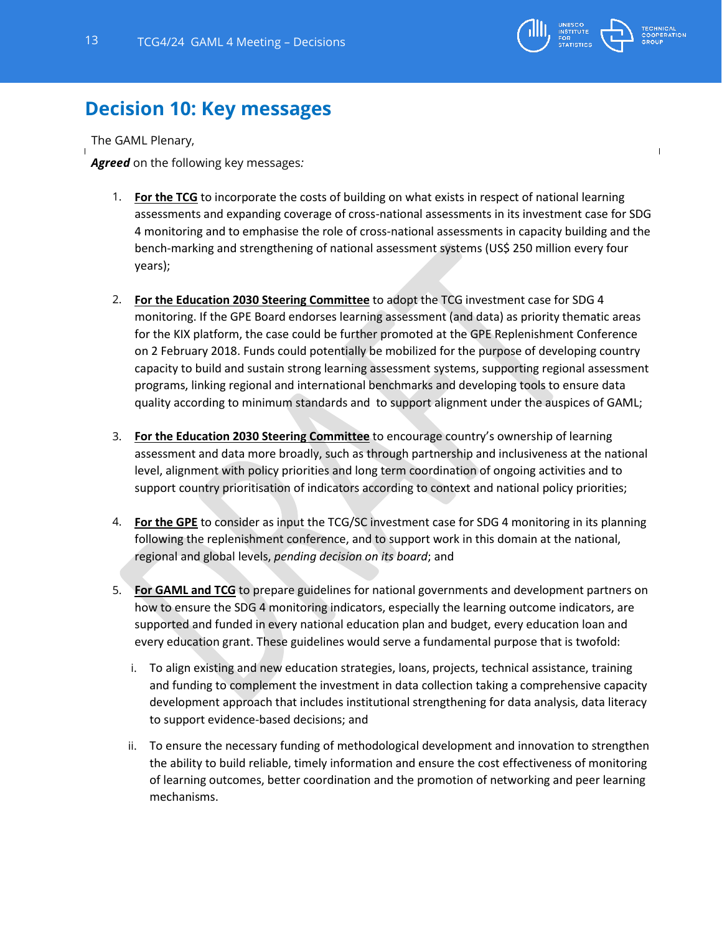

 $\mathbf{l}$ 

### **Decision 10: Key messages**

The GAML Plenary,

*Agreed* on the following key messages*:*

- 1. **For the TCG** to incorporate the costs of building on what exists in respect of national learning assessments and expanding coverage of cross-national assessments in its investment case for SDG 4 monitoring and to emphasise the role of cross-national assessments in capacity building and the bench-marking and strengthening of national assessment systems (US\$ 250 million every four years);
- 2. **For the Education 2030 Steering Committee** to adopt the TCG investment case for SDG 4 monitoring. If the GPE Board endorses learning assessment (and data) as priority thematic areas for the KIX platform, the case could be further promoted at the GPE Replenishment Conference on 2 February 2018. Funds could potentially be mobilized for the purpose of developing country capacity to build and sustain strong learning assessment systems, supporting regional assessment programs, linking regional and international benchmarks and developing tools to ensure data quality according to minimum standards and to support alignment under the auspices of GAML;
- 3. **For the Education 2030 Steering Committee** to encourage country's ownership of learning assessment and data more broadly, such as through partnership and inclusiveness at the national level, alignment with policy priorities and long term coordination of ongoing activities and to support country prioritisation of indicators according to context and national policy priorities;
- 4. **For the GPE** to consider as input the TCG/SC investment case for SDG 4 monitoring in its planning following the replenishment conference, and to support work in this domain at the national, regional and global levels, *pending decision on its board*; and
- 5. **For GAML and TCG** to prepare guidelines for national governments and development partners on how to ensure the SDG 4 monitoring indicators, especially the learning outcome indicators, are supported and funded in every national education plan and budget, every education loan and every education grant. These guidelines would serve a fundamental purpose that is twofold:
	- i. To align existing and new education strategies, loans, projects, technical assistance, training and funding to complement the investment in data collection taking a comprehensive capacity development approach that includes institutional strengthening for data analysis, data literacy to support evidence-based decisions; and
	- ii. To ensure the necessary funding of methodological development and innovation to strengthen the ability to build reliable, timely information and ensure the cost effectiveness of monitoring of learning outcomes, better coordination and the promotion of networking and peer learning mechanisms.